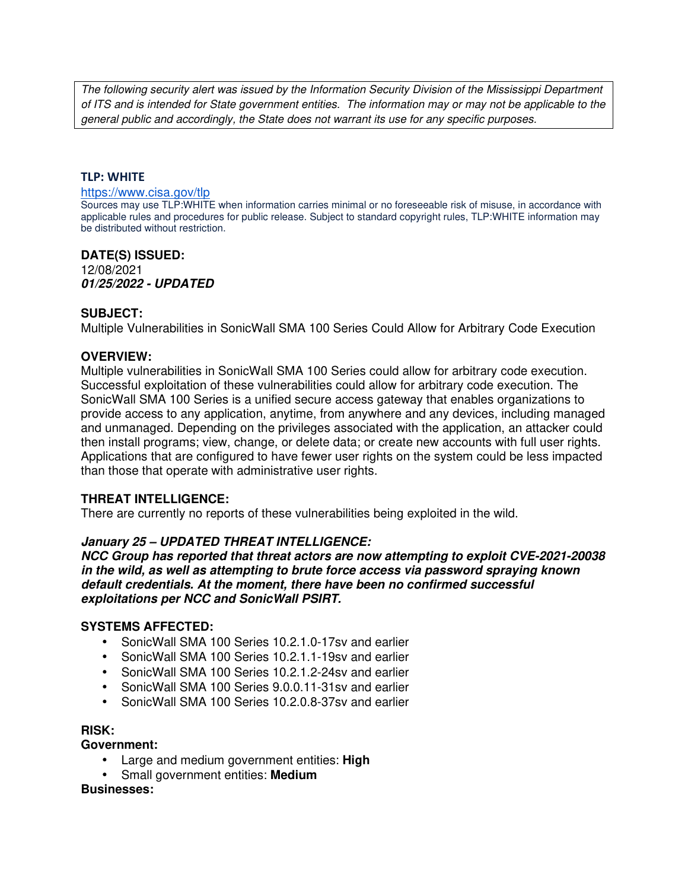The following security alert was issued by the Information Security Division of the Mississippi Department of ITS and is intended for State government entities. The information may or may not be applicable to the general public and accordingly, the State does not warrant its use for any specific purposes.

#### **TLP: WHITE**

#### https://www.cisa.gov/tlp

Sources may use TLP:WHITE when information carries minimal or no foreseeable risk of misuse, in accordance with applicable rules and procedures for public release. Subject to standard copyright rules, TLP:WHITE information may be distributed without restriction.

# **DATE(S) ISSUED:**

12/08/2021 *01/25/2022 - UPDATED*

#### **SUBJECT:**

Multiple Vulnerabilities in SonicWall SMA 100 Series Could Allow for Arbitrary Code Execution

#### **OVERVIEW:**

Multiple vulnerabilities in SonicWall SMA 100 Series could allow for arbitrary code execution. Successful exploitation of these vulnerabilities could allow for arbitrary code execution. The SonicWall SMA 100 Series is a unified secure access gateway that enables organizations to provide access to any application, anytime, from anywhere and any devices, including managed and unmanaged. Depending on the privileges associated with the application, an attacker could then install programs; view, change, or delete data; or create new accounts with full user rights. Applications that are configured to have fewer user rights on the system could be less impacted than those that operate with administrative user rights.

## **THREAT INTELLIGENCE:**

There are currently no reports of these vulnerabilities being exploited in the wild.

## *January 25 – UPDATED THREAT INTELLIGENCE:*

*NCC Group has reported that threat actors are now attempting to exploit CVE-2021-20038 in the wild, as well as attempting to brute force access via password spraying known default credentials. At the moment, there have been no confirmed successful exploitations per NCC and SonicWall PSIRT.*

## **SYSTEMS AFFECTED:**

- SonicWall SMA 100 Series 10.2.1.0-17sv and earlier
- SonicWall SMA 100 Series 10.2.1.1-19sv and earlier
- SonicWall SMA 100 Series 10.2.1.2-24sv and earlier
- SonicWall SMA 100 Series 9.0.0.11-31sv and earlier
- SonicWall SMA 100 Series 10.2.0.8-37sv and earlier

#### **RISK:**

**Government:**

- Large and medium government entities: **High**
- Small government entities: **Medium**

**Businesses:**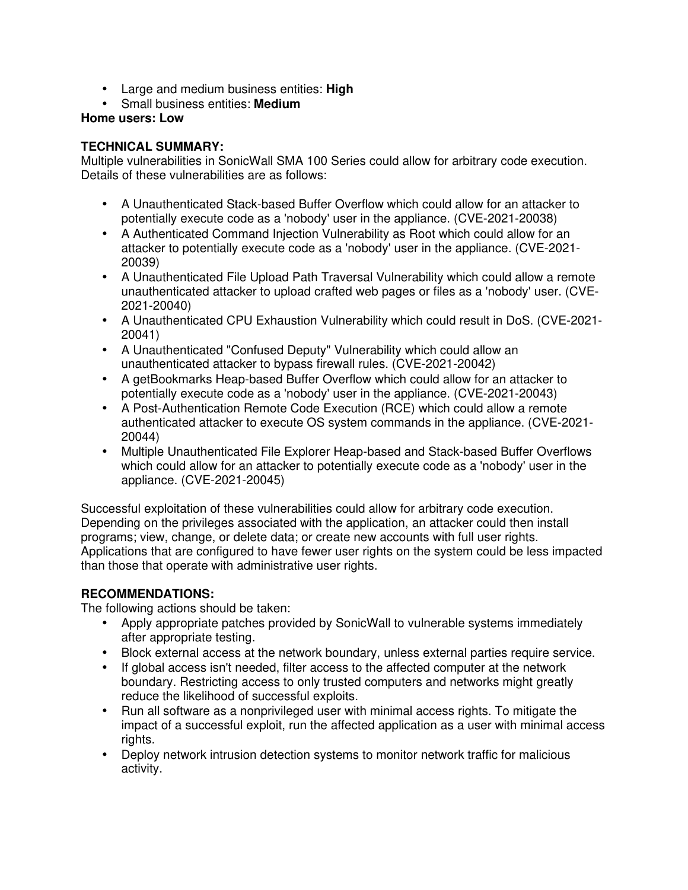- Large and medium business entities: **High**
- Small business entities: **Medium**

**Home users: Low**

## **TECHNICAL SUMMARY:**

Multiple vulnerabilities in SonicWall SMA 100 Series could allow for arbitrary code execution. Details of these vulnerabilities are as follows:

- A Unauthenticated Stack-based Buffer Overflow which could allow for an attacker to potentially execute code as a 'nobody' user in the appliance. (CVE-2021-20038)
- A Authenticated Command Injection Vulnerability as Root which could allow for an attacker to potentially execute code as a 'nobody' user in the appliance. (CVE-2021- 20039)
- A Unauthenticated File Upload Path Traversal Vulnerability which could allow a remote unauthenticated attacker to upload crafted web pages or files as a 'nobody' user. (CVE-2021-20040)
- A Unauthenticated CPU Exhaustion Vulnerability which could result in DoS. (CVE-2021- 20041)
- A Unauthenticated "Confused Deputy" Vulnerability which could allow an unauthenticated attacker to bypass firewall rules. (CVE-2021-20042)
- A getBookmarks Heap-based Buffer Overflow which could allow for an attacker to potentially execute code as a 'nobody' user in the appliance. (CVE-2021-20043)
- A Post-Authentication Remote Code Execution (RCE) which could allow a remote authenticated attacker to execute OS system commands in the appliance. (CVE-2021- 20044)
- Multiple Unauthenticated File Explorer Heap-based and Stack-based Buffer Overflows which could allow for an attacker to potentially execute code as a 'nobody' user in the appliance. (CVE-2021-20045)

Successful exploitation of these vulnerabilities could allow for arbitrary code execution. Depending on the privileges associated with the application, an attacker could then install programs; view, change, or delete data; or create new accounts with full user rights. Applications that are configured to have fewer user rights on the system could be less impacted than those that operate with administrative user rights.

# **RECOMMENDATIONS:**

The following actions should be taken:

- Apply appropriate patches provided by SonicWall to vulnerable systems immediately after appropriate testing.
- Block external access at the network boundary, unless external parties require service.
- If global access isn't needed, filter access to the affected computer at the network boundary. Restricting access to only trusted computers and networks might greatly reduce the likelihood of successful exploits.
- Run all software as a nonprivileged user with minimal access rights. To mitigate the impact of a successful exploit, run the affected application as a user with minimal access rights.
- Deploy network intrusion detection systems to monitor network traffic for malicious activity.